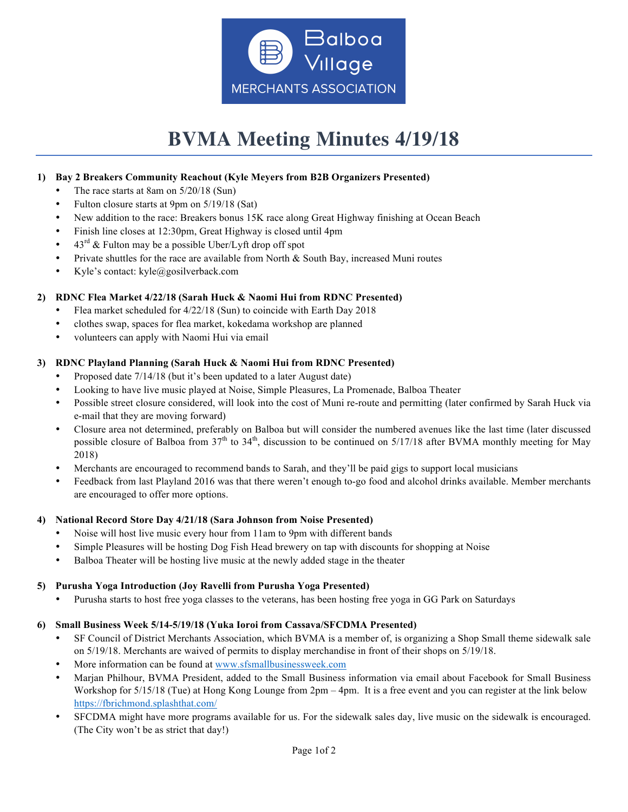

# **BVMA Meeting Minutes 4/19/18**

## **1) Bay 2 Breakers Community Reachout (Kyle Meyers from B2B Organizers Presented)**

- The race starts at 8am on  $5/20/18$  (Sun)
- Fulton closure starts at 9pm on 5/19/18 (Sat)
- New addition to the race: Breakers bonus 15K race along Great Highway finishing at Ocean Beach
- Finish line closes at 12:30pm, Great Highway is closed until 4pm
- $43<sup>rd</sup>$  & Fulton may be a possible Uber/Lyft drop off spot
- Private shuttles for the race are available from North & South Bay, increased Muni routes
- Kyle's contact: kyle@gosilverback.com

## **2) RDNC Flea Market 4/22/18 (Sarah Huck & Naomi Hui from RDNC Presented)**

- Flea market scheduled for 4/22/18 (Sun) to coincide with Earth Day 2018
- clothes swap, spaces for flea market, kokedama workshop are planned
- volunteers can apply with Naomi Hui via email

## **3) RDNC Playland Planning (Sarah Huck & Naomi Hui from RDNC Presented)**

- Proposed date 7/14/18 (but it's been updated to a later August date)
- Looking to have live music played at Noise, Simple Pleasures, La Promenade, Balboa Theater
- Possible street closure considered, will look into the cost of Muni re-route and permitting (later confirmed by Sarah Huck via e-mail that they are moving forward)
- Closure area not determined, preferably on Balboa but will consider the numbered avenues like the last time (later discussed possible closure of Balboa from  $37<sup>th</sup>$  to  $34<sup>th</sup>$ , discussion to be continued on  $5/17/18$  after BVMA monthly meeting for May 2018)
- Merchants are encouraged to recommend bands to Sarah, and they'll be paid gigs to support local musicians
- Feedback from last Playland 2016 was that there weren't enough to-go food and alcohol drinks available. Member merchants are encouraged to offer more options.

#### **4) National Record Store Day 4/21/18 (Sara Johnson from Noise Presented)**

- Noise will host live music every hour from 11am to 9pm with different bands
- Simple Pleasures will be hosting Dog Fish Head brewery on tap with discounts for shopping at Noise
- Balboa Theater will be hosting live music at the newly added stage in the theater

#### **5) Purusha Yoga Introduction (Joy Ravelli from Purusha Yoga Presented)**

• Purusha starts to host free yoga classes to the veterans, has been hosting free yoga in GG Park on Saturdays

#### **6) Small Business Week 5/14-5/19/18 (Yuka Ioroi from Cassava/SFCDMA Presented)**

- SF Council of District Merchants Association, which BVMA is a member of, is organizing a Shop Small theme sidewalk sale on 5/19/18. Merchants are waived of permits to display merchandise in front of their shops on 5/19/18.
- More information can be found at www.sfsmallbusinessweek.com
- Marjan Philhour, BVMA President, added to the Small Business information via email about Facebook for Small Business Workshop for 5/15/18 (Tue) at Hong Kong Lounge from 2pm – 4pm. It is a free event and you can register at the link below https://fbrichmond.splashthat.com/
- SFCDMA might have more programs available for us. For the sidewalk sales day, live music on the sidewalk is encouraged. (The City won't be as strict that day!)